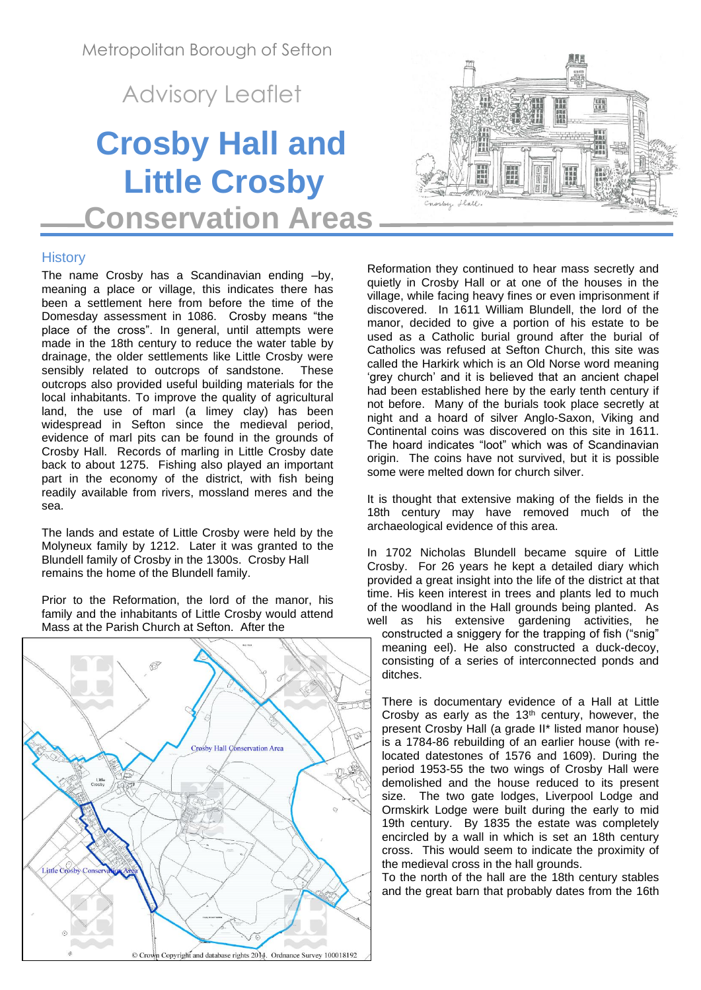Metropolitan Borough of Sefton

Advisory Leaflet

# **Crosby Hall and Little Crosby Conservation Areas**



# **History**

The name Crosby has a Scandinavian ending –by, meaning a place or village, this indicates there has been a settlement here from before the time of the Domesday assessment in 1086. Crosby means "the place of the cross". In general, until attempts were made in the 18th century to reduce the water table by drainage, the older settlements like Little Crosby were sensibly related to outcrops of sandstone. These outcrops also provided useful building materials for the local inhabitants. To improve the quality of agricultural land, the use of marl (a limey clay) has been widespread in Sefton since the medieval period, evidence of marl pits can be found in the grounds of Crosby Hall. Records of marling in Little Crosby date back to about 1275. Fishing also played an important part in the economy of the district, with fish being readily available from rivers, mossland meres and the sea.

The lands and estate of Little Crosby were held by the Molyneux family by 1212. Later it was granted to the Blundell family of Crosby in the 1300s. Crosby Hall remains the home of the Blundell family.

Prior to the Reformation, the lord of the manor, his family and the inhabitants of Little Crosby would attend Mass at the Parish Church at Sefton. After the



Reformation they continued to hear mass secretly and quietly in Crosby Hall or at one of the houses in the village, while facing heavy fines or even imprisonment if discovered. In 1611 William Blundell, the lord of the manor, decided to give a portion of his estate to be used as a Catholic burial ground after the burial of Catholics was refused at Sefton Church, this site was called the Harkirk which is an Old Norse word meaning 'grey church' and it is believed that an ancient chapel had been established here by the early tenth century if not before. Many of the burials took place secretly at night and a hoard of silver Anglo-Saxon, Viking and Continental coins was discovered on this site in 1611. The hoard indicates "loot" which was of Scandinavian origin. The coins have not survived, but it is possible some were melted down for church silver.

It is thought that extensive making of the fields in the 18th century may have removed much of the archaeological evidence of this area.

In 1702 Nicholas Blundell became squire of Little Crosby. For 26 years he kept a detailed diary which provided a great insight into the life of the district at that time. His keen interest in trees and plants led to much of the woodland in the Hall grounds being planted. As well as his extensive gardening activities, he

constructed a sniggery for the trapping of fish ("snig" meaning eel). He also constructed a duck-decoy, consisting of a series of interconnected ponds and ditches.

There is documentary evidence of a Hall at Little Crosby as early as the  $13<sup>th</sup>$  century, however, the present Crosby Hall (a grade II\* listed manor house) is a 1784-86 rebuilding of an earlier house (with relocated datestones of 1576 and 1609). During the period 1953-55 the two wings of Crosby Hall were demolished and the house reduced to its present size. The two gate lodges, Liverpool Lodge and Ormskirk Lodge were built during the early to mid 19th century. By 1835 the estate was completely encircled by a wall in which is set an 18th century cross. This would seem to indicate the proximity of the medieval cross in the hall grounds.

To the north of the hall are the 18th century stables and the great barn that probably dates from the 16th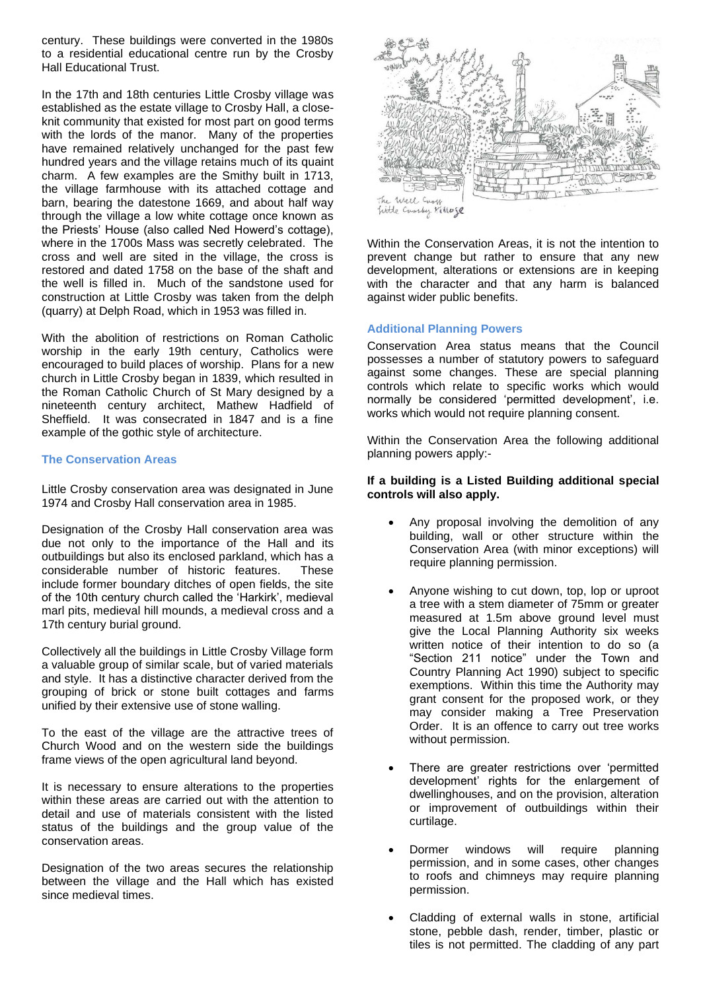century. These buildings were converted in the 1980s to a residential educational centre run by the Crosby Hall Educational Trust.

In the 17th and 18th centuries Little Crosby village was established as the estate village to Crosby Hall, a closeknit community that existed for most part on good terms with the lords of the manor. Many of the properties have remained relatively unchanged for the past few hundred years and the village retains much of its quaint charm. A few examples are the Smithy built in 1713, the village farmhouse with its attached cottage and barn, bearing the datestone 1669, and about half way through the village a low white cottage once known as the Priests' House (also called Ned Howerd's cottage), where in the 1700s Mass was secretly celebrated. The cross and well are sited in the village, the cross is restored and dated 1758 on the base of the shaft and the well is filled in. Much of the sandstone used for construction at Little Crosby was taken from the delph (quarry) at Delph Road, which in 1953 was filled in.

With the abolition of restrictions on Roman Catholic worship in the early 19th century, Catholics were encouraged to build places of worship. Plans for a new church in Little Crosby began in 1839, which resulted in the Roman Catholic Church of St Mary designed by a nineteenth century architect, Mathew Hadfield of Sheffield. It was consecrated in 1847 and is a fine example of the gothic style of architecture.

### **The Conservation Areas**

Little Crosby conservation area was designated in June 1974 and Crosby Hall conservation area in 1985.

Designation of the Crosby Hall conservation area was due not only to the importance of the Hall and its outbuildings but also its enclosed parkland, which has a considerable number of historic features. These include former boundary ditches of open fields, the site of the 10th century church called the 'Harkirk', medieval marl pits, medieval hill mounds, a medieval cross and a 17th century burial ground.

Collectively all the buildings in Little Crosby Village form a valuable group of similar scale, but of varied materials and style. It has a distinctive character derived from the grouping of brick or stone built cottages and farms unified by their extensive use of stone walling.

To the east of the village are the attractive trees of Church Wood and on the western side the buildings frame views of the open agricultural land beyond.

It is necessary to ensure alterations to the properties within these areas are carried out with the attention to detail and use of materials consistent with the listed status of the buildings and the group value of the conservation areas.

Designation of the two areas secures the relationship between the village and the Hall which has existed since medieval times.



Within the Conservation Areas, it is not the intention to prevent change but rather to ensure that any new development, alterations or extensions are in keeping with the character and that any harm is balanced against wider public benefits.

## **Additional Planning Powers**

Conservation Area status means that the Council possesses a number of statutory powers to safeguard against some changes. These are special planning controls which relate to specific works which would normally be considered 'permitted development', i.e. works which would not require planning consent.

Within the Conservation Area the following additional planning powers apply:-

## **If a building is a Listed Building additional special controls will also apply.**

- Any proposal involving the demolition of any building, wall or other structure within the Conservation Area (with minor exceptions) will require planning permission.
- Anyone wishing to cut down, top, lop or uproot a tree with a stem diameter of 75mm or greater measured at 1.5m above ground level must give the Local Planning Authority six weeks written notice of their intention to do so (a "Section 211 notice" under the Town and Country Planning Act 1990) subject to specific exemptions. Within this time the Authority may grant consent for the proposed work, or they may consider making a Tree Preservation Order. It is an offence to carry out tree works without permission.
- There are greater restrictions over 'permitted development' rights for the enlargement of dwellinghouses, and on the provision, alteration or improvement of outbuildings within their curtilage.
- Dormer windows will require planning permission, and in some cases, other changes to roofs and chimneys may require planning permission.
- Cladding of external walls in stone, artificial stone, pebble dash, render, timber, plastic or tiles is not permitted. The cladding of any part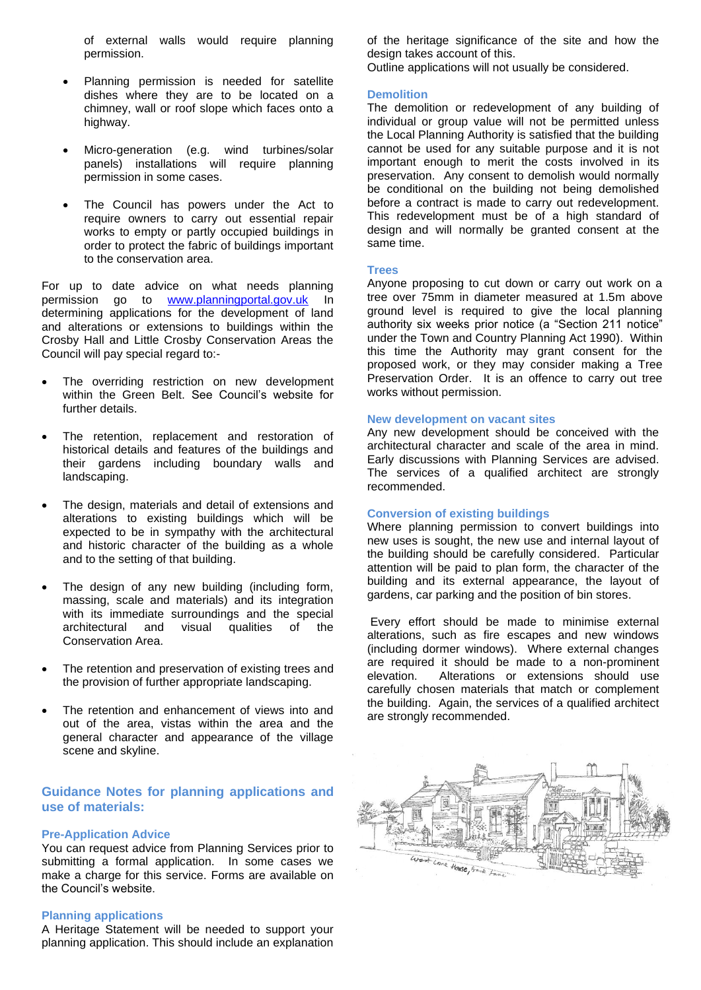of external walls would require planning permission.

- Planning permission is needed for satellite dishes where they are to be located on a chimney, wall or roof slope which faces onto a highway.
- Micro-generation (e.g. wind turbines/solar panels) installations will require planning permission in some cases.
- The Council has powers under the Act to require owners to carry out essential repair works to empty or partly occupied buildings in order to protect the fabric of buildings important to the conservation area.

For up to date advice on what needs planning permission go to [www.planningportal.gov.uk](http://www.planningportal.gov.uk/) In determining applications for the development of land and alterations or extensions to buildings within the Crosby Hall and Little Crosby Conservation Areas the Council will pay special regard to:-

- The overriding restriction on new development within the Green Belt. See Council's website for further details.
- The retention, replacement and restoration of historical details and features of the buildings and their gardens including boundary walls and landscaping.
- The design, materials and detail of extensions and alterations to existing buildings which will be expected to be in sympathy with the architectural and historic character of the building as a whole and to the setting of that building.
- The design of any new building (including form, massing, scale and materials) and its integration with its immediate surroundings and the special architectural and visual qualities of the Conservation Area.
- The retention and preservation of existing trees and the provision of further appropriate landscaping.
- The retention and enhancement of views into and out of the area, vistas within the area and the general character and appearance of the village scene and skyline.

# **Guidance Notes for planning applications and use of materials:**

#### **Pre-Application Advice**

You can request advice from Planning Services prior to submitting a formal application. In some cases we make a charge for this service. Forms are available on the Council's website.

#### **Planning applications**

A Heritage Statement will be needed to support your planning application. This should include an explanation of the heritage significance of the site and how the design takes account of this.

Outline applications will not usually be considered.

#### **Demolition**

The demolition or redevelopment of any building of individual or group value will not be permitted unless the Local Planning Authority is satisfied that the building cannot be used for any suitable purpose and it is not important enough to merit the costs involved in its preservation. Any consent to demolish would normally be conditional on the building not being demolished before a contract is made to carry out redevelopment. This redevelopment must be of a high standard of design and will normally be granted consent at the same time.

#### **Trees**

Anyone proposing to cut down or carry out work on a tree over 75mm in diameter measured at 1.5m above ground level is required to give the local planning authority six weeks prior notice (a "Section 211 notice" under the Town and Country Planning Act 1990). Within this time the Authority may grant consent for the proposed work, or they may consider making a Tree Preservation Order. It is an offence to carry out tree works without permission.

#### **New development on vacant sites**

Any new development should be conceived with the architectural character and scale of the area in mind. Early discussions with Planning Services are advised. The services of a qualified architect are strongly recommended.

#### **Conversion of existing buildings**

Where planning permission to convert buildings into new uses is sought, the new use and internal layout of the building should be carefully considered. Particular attention will be paid to plan form, the character of the building and its external appearance, the layout of gardens, car parking and the position of bin stores.

Every effort should be made to minimise external alterations, such as fire escapes and new windows (including dormer windows). Where external changes are required it should be made to a non-prominent elevation. Alterations or extensions should use carefully chosen materials that match or complement the building. Again, the services of a qualified architect are strongly recommended.